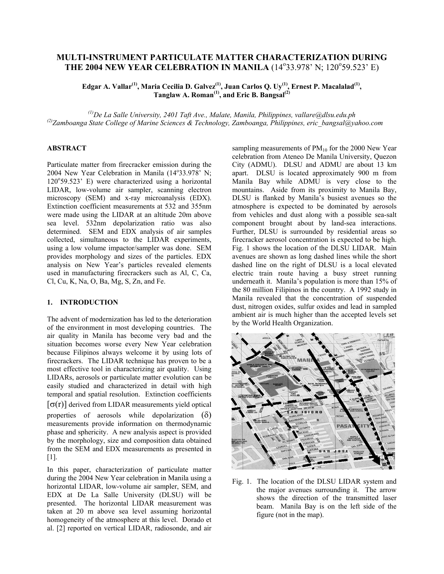# **MULTI-INSTRUMENT PARTICULATE MATTER CHARACTERIZATION DURING THE 2004 NEW YEAR CELEBRATION IN MANILA** (14°33.978' N; 120°59.523' E)

**Edgar A. Vallar(1), Maria Cecilia D. Galvez(1), Juan Carlos Q. Uy(1), Ernest P. Macalalad(1), Tanglaw A. Roman(1), and Eric B. Bangsal (2)** 

*(1) De La Salle University, 2401 Taft Ave., Malate, Manila, Philippines, [vallare@dlsu.edu.ph](mailto:vallare@dlsu.edu.ph) (2) Zamboanga State College of Marine Sciences & Technology, Zamboanga, Philippines, eric\_bangsal@yahoo.com*

# **ABSTRACT**

Particulate matter from firecracker emission during the 2004 New Year Celebration in Manila  $(14^{\circ}33.978^{\circ}$  N; 120°59.523' E) were characterized using a horizontal LIDAR, low-volume air sampler, scanning electron microscopy (SEM) and x-ray microanalysis (EDX). Extinction coefficient measurements at 532 and 355nm were made using the LIDAR at an altitude 20m above sea level. 532nm depolarization ratio was also determined. SEM and EDX analysis of air samples collected, simultaneous to the LIDAR experiments, using a low volume impactor/sampler was done. SEM provides morphology and sizes of the particles. EDX analysis on New Year's particles revealed elements used in manufacturing firecrackers such as Al, C, Ca, Cl, Cu, K, Na, O, Ba, Mg, S, Zn, and Fe.

## **1. INTRODUCTION**

The advent of modernization has led to the deterioration of the environment in most developing countries. The air quality in Manila has become very bad and the situation becomes worse every New Year celebration because Filipinos always welcome it by using lots of firecrackers. The LIDAR technique has proven to be a most effective tool in characterizing air quality. Using LIDARs, aerosols or particulate matter evolution can be easily studied and characterized in detail with high temporal and spatial resolution. Extinction coefficients  $\sigma(r)$ ] derived from LIDAR measurements yield optical properties of aerosols while depolarization  $(\delta)$ measurements provide information on thermodynamic phase and sphericity. A new analysis aspect is provided by the morphology, size and composition data obtained from the SEM and EDX measurements as presented in [1].

In this paper, characterization of particulate matter during the 2004 New Year celebration in Manila using a horizontal LIDAR, low-volume air sampler, SEM, and EDX at De La Salle University (DLSU) will be presented. The horizontal LIDAR measurement was taken at 20 m above sea level assuming horizontal homogeneity of the atmosphere at this level. Dorado et al. [2] reported on vertical LIDAR, radiosonde, and air

sampling measurements of  $PM_{10}$  for the 2000 New Year celebration from Ateneo De Manila University, Quezon City (ADMU). DLSU and ADMU are about 13 km apart. DLSU is located approximately 900 m from Manila Bay while ADMU is very close to the mountains. Aside from its proximity to Manila Bay, DLSU is flanked by Manila's busiest avenues so the atmosphere is expected to be dominated by aerosols from vehicles and dust along with a possible sea-salt component brought about by land-sea interactions. Further, DLSU is surrounded by residential areas so firecracker aerosol concentration is expected to be high. Fig. 1 shows the location of the DLSU LIDAR. Main avenues are shown as long dashed lines while the short dashed line on the right of DLSU is a local elevated electric train route having a busy street running underneath it. Manila's population is more than 15% of the 80 million Filipinos in the country. A 1992 study in Manila revealed that the concentration of suspended dust, nitrogen oxides, sulfur oxides and lead in sampled ambient air is much higher than the accepted levels set by the World Health Organization.



Fig. 1. The location of the DLSU LIDAR system and the major avenues surrounding it. The arrow shows the direction of the transmitted laser beam. Manila Bay is on the left side of the figure (not in the map).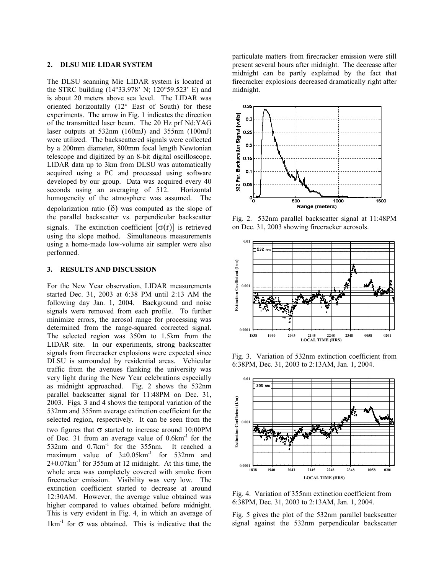#### **2. DLSU MIE LIDAR SYSTEM**

The DLSU scanning Mie LIDAR system is located at the STRC building (14°33.978' N; 120°59.523' E) and is about 20 meters above sea level. The LIDAR was oriented horizontally (12° East of South) for these experiments. The arrow in Fig. 1 indicates the direction of the transmitted laser beam. The 20 Hz prf Nd:YAG laser outputs at 532nm (160mJ) and 355nm (100mJ) were utilized. The backscattered signals were collected by a 200mm diameter, 800mm focal length Newtonian telescope and digitized by an 8-bit digital oscilloscope. LIDAR data up to 3km from DLSU was automatically acquired using a PC and processed using software developed by our group. Data was acquired every 40 seconds using an averaging of 512. Horizontal homogeneity of the atmosphere was assumed. The depolarization ratio  $(\delta)$  was computed as the slope of the parallel backscatter vs. perpendicular backscatter signals. The extinction coefficient  $[\sigma(r)]$  is retrieved using the slope method. Simultaneous measurements using a home-made low-volume air sampler were also performed.

#### **3. RESULTS AND DISCUSSION**

For the New Year observation, LIDAR measurements started Dec. 31, 2003 at 6:38 PM until 2:13 AM the following day Jan. 1, 2004. Background and noise signals were removed from each profile. To further minimize errors, the aerosol range for processing was determined from the range-squared corrected signal. The selected region was 350m to 1.5km from the LIDAR site. In our experiments, strong backscatter signals from firecracker explosions were expected since DLSU is surrounded by residential areas. Vehicular traffic from the avenues flanking the university was very light during the New Year celebrations especially as midnight approached. Fig. 2 shows the 532nm parallel backscatter signal for 11:48PM on Dec. 31, 2003. Figs. 3 and 4 shows the temporal variation of the 532nm and 355nm average extinction coefficient for the selected region, respectively. It can be seen from the two figures that σ started to increase around 10:00PM of Dec. 31 from an average value of  $0.6 \text{km}^{-1}$  for the 532nm and 0.7km<sup>-1</sup> for the 355nm. It reached a maximum value of  $3\pm0.05$ km<sup>-1</sup> for 532nm and  $2\pm0.07$ km<sup>-1</sup> for 355nm at 12 midnight. At this time, the whole area was completely covered with smoke from firecracker emission. Visibility was very low. The extinction coefficient started to decrease at around 12:30AM. However, the average value obtained was higher compared to values obtained before midnight. This is very evident in Fig. 4, in which an average of  $1 \text{km}^{-1}$  for  $\sigma$  was obtained. This is indicative that the

particulate matters from firecracker emission were still present several hours after midnight. The decrease after midnight can be partly explained by the fact that firecracker explosions decreased dramatically right after midnight.



Fig. 2. 532nm parallel backscatter signal at 11:48PM on Dec. 31, 2003 showing firecracker aerosols.



Fig. 3. Variation of 532nm extinction coefficient from 6:38PM, Dec. 31, 2003 to 2:13AM, Jan. 1, 2004.



Fig. 4. Variation of 355nm extinction coefficient from 6:38PM, Dec. 31, 2003 to 2:13AM, Jan. 1, 2004.

Fig. 5 gives the plot of the 532nm parallel backscatter signal against the 532nm perpendicular backscatter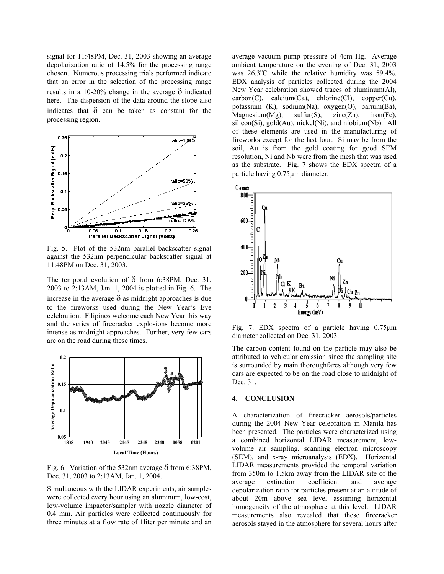signal for 11:48PM, Dec. 31, 2003 showing an average depolarization ratio of 14.5% for the processing range chosen. Numerous processing trials performed indicate that an error in the selection of the processing range results in a 10-20% change in the average  $\delta$  indicated here. The dispersion of the data around the slope also indicates that  $\delta$  can be taken as constant for the processing region.



Fig. 5. Plot of the 532nm parallel backscatter signal against the 532nm perpendicular backscatter signal at 11:48PM on Dec. 31, 2003.

The temporal evolution of  $\delta$  from 6:38PM, Dec. 31, 2003 to 2:13AM, Jan. 1, 2004 is plotted in Fig. 6. The increase in the average  $\delta$  as midnight approaches is due to the fireworks used during the New Year's Eve celebration. Filipinos welcome each New Year this way and the series of firecracker explosions become more intense as midnight approaches. Further, very few cars are on the road during these times.



Fig. 6. Variation of the 532nm average  $\delta$  from 6:38PM, Dec. 31, 2003 to 2:13AM, Jan. 1, 2004.

Simultaneous with the LIDAR experiments, air samples were collected every hour using an aluminum, low-cost, low-volume impactor/sampler with nozzle diameter of 0.4 mm. Air particles were collected continuously for three minutes at a flow rate of 1liter per minute and an

average vacuum pump pressure of 4cm Hg. Average ambient temperature on the evening of Dec. 31, 2003 was  $26.3^{\circ}$ C while the relative humidity was 59.4%. EDX analysis of particles collected during the 2004 New Year celebration showed traces of aluminum(Al),  $carbon(C)$ ,  $calcium(Ca)$ ,  $chlorine(Cl)$ ,  $copper(Cu)$ , potassium (K), sodium(Na), oxygen(O), barium(Ba),  $Magnesium(Mg), \quad sulfur(S), \quad zinc(Zn), \quad iron(Fe),$ silicon(Si), gold(Au), nickel(Ni), and niobium(Nb). All of these elements are used in the manufacturing of fireworks except for the last four. Si may be from the soil, Au is from the gold coating for good SEM resolution, Ni and Nb were from the mesh that was used as the substrate. Fig. 7 shows the EDX spectra of a particle having 0.75µm diameter.



Fig. 7. EDX spectra of a particle having 0.75µm diameter collected on Dec. 31, 2003.

The carbon content found on the particle may also be attributed to vehicular emission since the sampling site is surrounded by main thoroughfares although very few cars are expected to be on the road close to midnight of Dec. 31.

## **4. CONCLUSION**

A characterization of firecracker aerosols/particles during the 2004 New Year celebration in Manila has been presented. The particles were characterized using a combined horizontal LIDAR measurement, lowvolume air sampling, scanning electron microscopy (SEM), and x-ray microanalysis (EDX). Horizontal LIDAR measurements provided the temporal variation from 350m to 1.5km away from the LIDAR site of the average extinction coefficient and average depolarization ratio for particles present at an altitude of about 20m above sea level assuming horizontal homogeneity of the atmosphere at this level. LIDAR measurements also revealed that these firecracker aerosols stayed in the atmosphere for several hours after